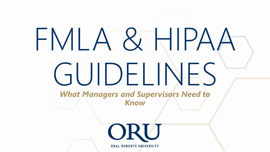# FMLA & HIPAA GUIDELINES *What Managers and Supervisors Need to Know*ORU

**ORAL ROBERTS UNIVERSITY**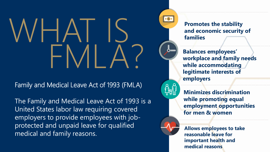# WHAT IS FMLA?

Family and Medical Leave Act of 1993 (FMLA)

The Family and Medical Leave Act of 1993 is a United States labor law requiring covered employers to provide employees with jobprotected and unpaid leave for qualified medical and family reasons.

**Promotes the stability and economic security of families**

 $\bullet$ \$ $\bullet$ 

**Balances employees' workplace and family needs while accommodating legitimate interests of employers**

**Minimizes discrimination while promoting equal employment opportunities for men & women**

**Allows employees to take reasonable leave for important health and medical reasons**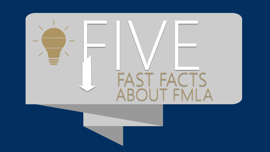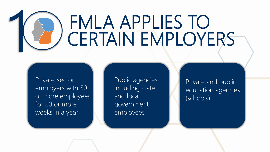## FMLA APPLIES TO CERTAIN EMPLOYERS

Private-sector employers with 50 or more employees for 20 or more weeks in a year

1

Public agencies including state and local government employees

Private and public education agencies (schools)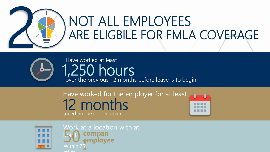



### Have worked at least 1,250 hours over the previous 12 months before leave is to begin

### Have worked for the employer for at least 12 months (need not be consecutive)





Work at a location with at least 50 **compan yemployee** Within 75 **s** miles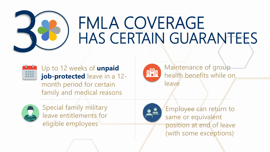

### FMLA COVERAGE HAS CERTAIN GUARANTEES



Up to 12 weeks of **unpaid job-protected** leave in a 12month period for certain family and medical reasons



Special family military leave entitlements for eligible employees



Maintenance of group health benefits while on leave



Employee can return to same or equivalent position at end of leave (with some exceptions)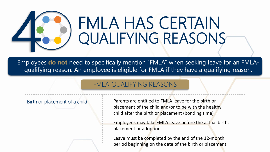

### FMLA HAS CERTAIN QUALIFYING REASONS

Employees **do not** need to specifically mention "FMLA" when seeking leave for an FMLAqualifying reason. An employee is eligible for FMLA if they have a qualifying reason.

#### FMLA QUALIFYING REASONS

Birth or placement of a child **Parents are entitled to FMLA leave for the birth or** placement of the child and/or to be with the healthy child after the birth or placement (bonding time)

> Employees may take FMLA leave before the actual birth, placement or adoption

Leave must be completed by the end of the 12-month period beginning on the date of the birth or placement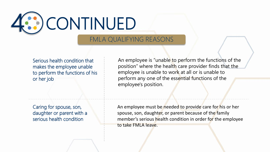

#### FMLA QUALIFYING REASONS

Serious health condition that makes the employee unable to perform the functions of his or her job

An employee is "unable to perform the functions of the position" where the health care provider finds that the employee is unable to work at all or is unable to perform any one of the essential functions of the employee's position.

Caring for spouse, son, daughter or parent with a serious health condition

An employee must be needed to provide care for his or her spouse, son, daughter, or parent because of the family member's serious health condition in order for the employee to take FMLA leave.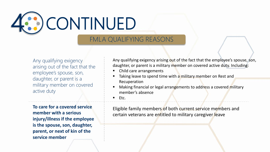

#### FMLA QUALIFYING REASONS

Any qualifying exigency arising out of the fact that the employee's spouse, son, daughter, or parent is a military member on covered active duty

**To care for a covered service member with a serious injury/illness if the employee is the spouse, son, daughter, parent, or next of kin of the service member**

Any qualifying exigency arising out of the fact that the employee's spouse, son, daughter, or parent is a military member on covered active duty. Including:

- Child care arrangements
- Taking leave to spend time with a military member on Rest and Recuperation
- Making financial or legal arrangements to address a covered military member's absence
- $\blacksquare$  Etc.

Eligible family members of both current service members and certain veterans are entitled to military caregiver leave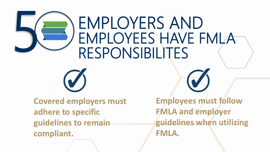### EMPLOYERS AND EMPLOYEES HAVE FMLA RESPONSIBILITES

**Covered employers must adhere to specific guidelines to remain compliant.**

5

**Employees must follow FMLA and employer guidelines when utilizing FMLA.**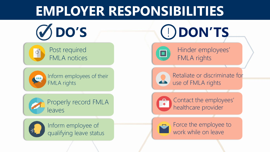### **EMPLOYER RESPONSIBILITIES**





 $\overline{\mathbf{P}}$ 

Inform employees of their FMLA rights



Properly record FMLA leaves



Inform employee of qualifying leave status

**DO'S** ! **DON'TS**



Hinder employees' FMLA rights



Retaliate or discriminate for use of FMLA rights



Contact the employees' healthcare provider

Force the employee to work while on leave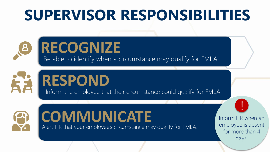### **SUPERVISOR RESPONSIBILITIES**

### **RECOGNIZE**

Be able to identify when a circumstance may qualify for FMLA.

### **RESPOND**

Inform the employee that their circumstance could qualify for FMLA.



 $\mathbf{B}$ 

### Alert HR that your employee's circumstance may qualify for FMLA. COMMUNICATE Inform HR when an

employee is absent for more than 4 days.

!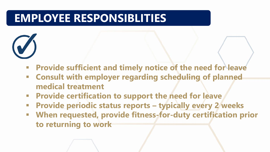### **EMPLOYEE RESPONSIBLITIES**

- **Example 20 Figure 1 and transformally notice of the need for leave 4 Figure 3.1 Figure 1.1 Figure 3.1 Figure 3.1 Figure 3.1 Figure 3.1 Figure 3.1 Figure 3.1 Figure 3.1 Figure 3.1 Figure 3.1 Figure 3.1 Figure 3.1 Figure 3.**
- **Consult with employer regarding scheduling of planned medical treatment**
- **<b>EXPROVIDE CERTY CONTERGIST CONTERER Provide certification to support the need for leave**
- **Provide periodic status reports – typically every 2 weeks**
- **When requested, provide fitness-for-duty certification prior to returning to work**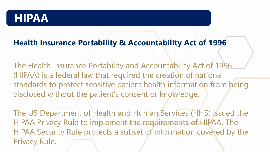### **HIPAA**

### **Health Insurance Portability & Accountability Act of 1996**

The Health Insurance Portability and Accountability Act of 1996 (HIPAA) is a federal law that required the creation of national standards to protect sensitive patient health information from being disclosed without the patient's consent or knowledge.

The US Department of Health and Human Services (HHS) issued the HIPAA Privacy Rule to implement the requirements of HIPAA. The HIPAA Security Rule protects a subset of information covered by the Privacy Rule.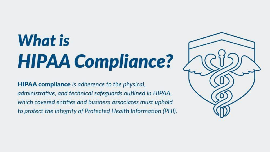## What is **HIPAA Compliance?**

**HIPAA compliance** is adherence to the physical, administrative, and technical safeguards outlined in HIPAA, which covered entities and business associates must uphold to protect the integrity of Protected Health Information (PHI).

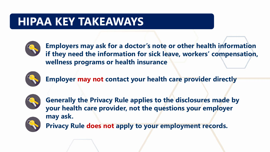#### **HIPAA HIPAA KEY TAKEAWAYS**



**Employers may ask for a doctor's note or other health information if they need the information for sick leave, workers' compensation, wellness programs or health insurance**



**Employer may not contact your health care provider directly**



**Generally the Privacy Rule applies to the disclosures made by your health care provider, not the questions your employer may ask.** 



**Privacy Rule does not apply to your employment records.**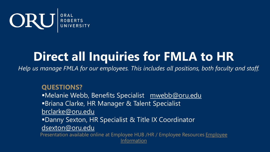

### **Direct all Inquiries for FMLA to HR**

*Help us manage FMLA for our employees. This includes all positions, both faculty and staff.*

**QUESTIONS?**

■Melanie Webb, Benefits Specialist [mwebb@oru.edu](mailto:mwebb@oru.edu)

**Briana Clarke, HR Manager & Talent Specialist** 

[brclarke@oru.edu](mailto:brclarke@oru.edu)

**Danny Sexton, HR Specialist & Title IX Coordinator** 

[dsexton@oru.edu](mailto:dsexton@oru.edu)

Presentation available online at Em[ployee HUB /HR / Employee Resources Employee](https://oru.edu/human-resources/employee-resources/employee-information.php) Information